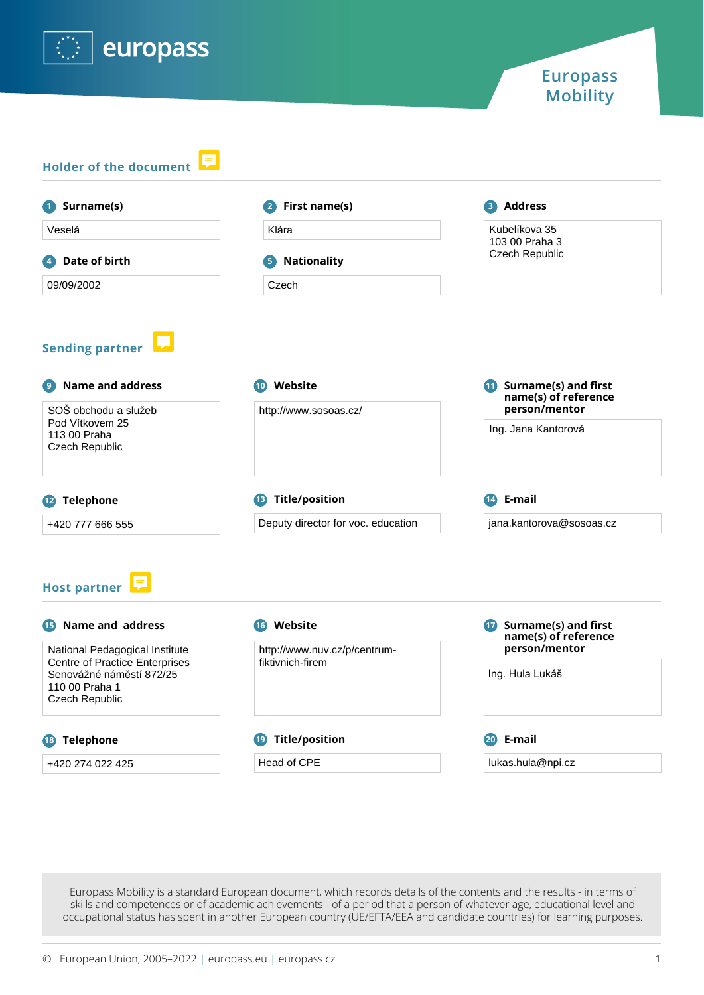

| 1 Surname(s)                                                                                          | 2 First name(s)                                   | <b>B</b> Address                                                        |  |
|-------------------------------------------------------------------------------------------------------|---------------------------------------------------|-------------------------------------------------------------------------|--|
| Veselá                                                                                                | Klára                                             | Kubelíkova 35<br>103 00 Praha 3<br><b>Czech Republic</b>                |  |
| Date of birth<br>$\vert \bm{A} \vert$                                                                 | <b>Nationality</b><br>5)                          |                                                                         |  |
| 09/09/2002                                                                                            | Czech                                             |                                                                         |  |
| 厚<br><b>Sending partner</b>                                                                           |                                                   |                                                                         |  |
| <b>Name and address</b><br>9)                                                                         | 10 Website                                        | <b>11</b> Surname(s) and first<br>name(s) of reference                  |  |
| SOŠ obchodu a služeb<br>Pod Vítkovem 25<br>113 00 Praha<br>Czech Republic                             | http://www.sosoas.cz/                             | person/mentor<br>Ing. Jana Kantorová                                    |  |
| <sup>13</sup> Title/position<br><sup>12</sup> Telephone                                               |                                                   | E-mail<br>$\overline{14}$                                               |  |
| +420 777 666 555                                                                                      | Deputy director for voc. education                | jana.kantorova@sosoas.cz                                                |  |
| <b>Host partner</b><br>Name and address<br>15<br>National Pedagogical Institute                       | <b>16</b> Website<br>http://www.nuv.cz/p/centrum- | <b>17</b> Surname(s) and first<br>name(s) of reference<br>person/mentor |  |
| <b>Centre of Practice Enterprises</b><br>Senovážné náměstí 872/25<br>110 00 Praha 1<br>Czech Republic | fiktivnich-firem                                  | Ing. Hula Lukáš                                                         |  |
| <b>Title/position</b><br><b>18</b> Telephone                                                          |                                                   | 20 E-mail                                                               |  |
| +420 274 022 425                                                                                      | Head of CPE                                       | lukas.hula@npi.cz                                                       |  |

Europass Mobility is a standard European document, which records details of the contents and the results - in terms of skills and competences or of academic achievements - of a period that a person of whatever age, educational level and occupational status has spent in another European country (UE/EFTA/EEA and candidate countries) for learning purposes.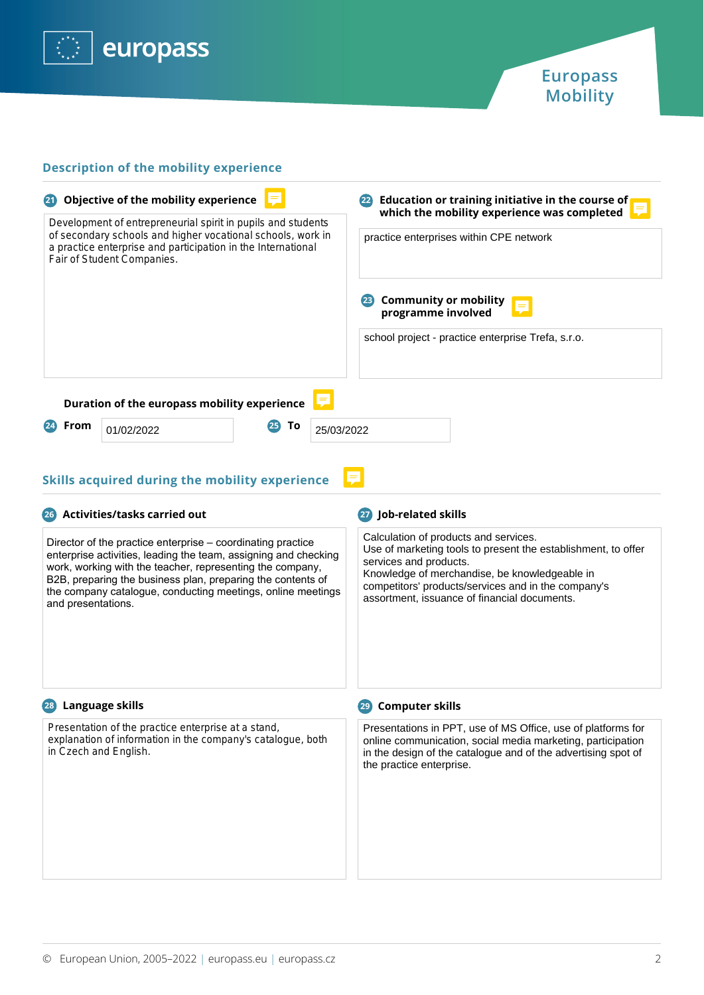



## **Description of the mobility experience**

| Objective of the mobility experience<br>Development of entrepreneurial spirit in pupils and students<br>of secondary schools and higher vocational schools, work in<br>a practice enterprise and participation in the International<br>Fair of Student Companies. |                                              |    | Education or training initiative in the course of<br>(22)<br>which the mobility experience was completed<br>practice enterprises within CPE network |  |
|-------------------------------------------------------------------------------------------------------------------------------------------------------------------------------------------------------------------------------------------------------------------|----------------------------------------------|----|-----------------------------------------------------------------------------------------------------------------------------------------------------|--|
|                                                                                                                                                                                                                                                                   |                                              |    |                                                                                                                                                     |  |
|                                                                                                                                                                                                                                                                   |                                              |    | school project - practice enterprise Trefa, s.r.o.                                                                                                  |  |
|                                                                                                                                                                                                                                                                   | Duration of the europass mobility experience |    |                                                                                                                                                     |  |
| From                                                                                                                                                                                                                                                              | 01/02/2022                                   | Τo | 25/03/2022                                                                                                                                          |  |

E

# **Skills acquired during the mobility experience**

| <b>Activities/tasks carried out</b><br>(26)                                                                                                                                                                                                                                                                                                     | Job-related skills                                                                                                                                                                                                                                                                       |
|-------------------------------------------------------------------------------------------------------------------------------------------------------------------------------------------------------------------------------------------------------------------------------------------------------------------------------------------------|------------------------------------------------------------------------------------------------------------------------------------------------------------------------------------------------------------------------------------------------------------------------------------------|
| Director of the practice enterprise - coordinating practice<br>enterprise activities, leading the team, assigning and checking<br>work, working with the teacher, representing the company,<br>B2B, preparing the business plan, preparing the contents of<br>the company catalogue, conducting meetings, online meetings<br>and presentations. | Calculation of products and services.<br>Use of marketing tools to present the establishment, to offer<br>services and products.<br>Knowledge of merchandise, be knowledgeable in<br>competitors' products/services and in the company's<br>assortment, issuance of financial documents. |
| Language skills<br>(28)                                                                                                                                                                                                                                                                                                                         | <b>Computer skills</b>                                                                                                                                                                                                                                                                   |
| Presentation of the practice enterprise at a stand,<br>explanation of information in the company's catalogue, both<br>in Czech and English.                                                                                                                                                                                                     | Presentations in PPT, use of MS Office, use of platforms for<br>online communication, social media marketing, participation<br>in the design of the catalogue and of the advertising spot of<br>the practice enterprise.                                                                 |